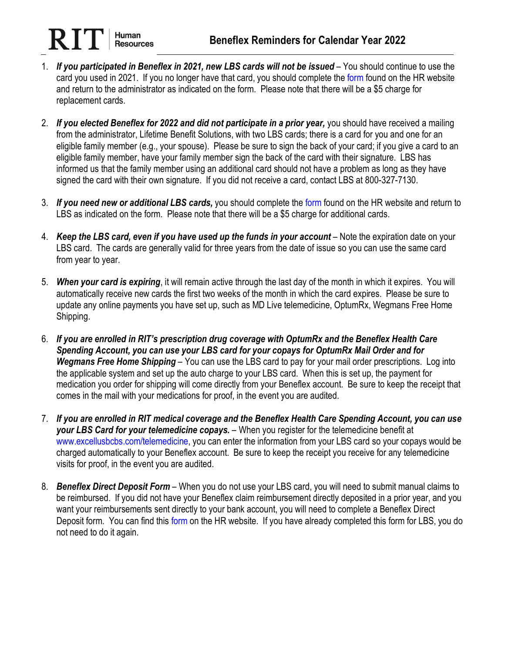- 1. *If you participated in Beneflex in 2021, new LBS cards will not be issued* You should continue to use the card you used in 2021. If you no longer have that card, you should complete the [form](https://www.rit.edu/fa/humanresources/sites/rit.edu.fa.humanresources/files/forms/Beneflex_Request_Additional_Card.pdf) found on the HR website and return to the administrator as indicated on the form. Please note that there will be a \$5 charge for replacement cards.
- 2. *If you elected Beneflex for 2022 and did not participate in a prior year,* you should have received a mailing from the administrator, Lifetime Benefit Solutions, with two LBS cards; there is a card for you and one for an eligible family member (e.g., your spouse). Please be sure to sign the back of your card; if you give a card to an eligible family member, have your family member sign the back of the card with their signature. LBS has informed us that the family member using an additional card should not have a problem as long as they have signed the card with their own signature. If you did not receive a card, contact LBS at 800-327-7130.
- 3. *If you need new or additional LBS cards,* you should complete the [form](https://www.rit.edu/fa/humanresources/sites/rit.edu.fa.humanresources/files/forms/Beneflex_Request_Additional_Card.pdf) found on the HR website and return to LBS as indicated on the form. Please note that there will be a \$5 charge for additional cards.
- 4. *Keep the LBS card, even if you have used up the funds in your account* Note the expiration date on your LBS card. The cards are generally valid for three years from the date of issue so you can use the same card from year to year.
- 5. *When your card is expiring*, it will remain active through the last day of the month in which it expires. You will automatically receive new cards the first two weeks of the month in which the card expires. Please be sure to update any online payments you have set up, such as MD Live telemedicine, OptumRx, Wegmans Free Home Shipping.
- 6. *If you are enrolled in RIT's prescription drug coverage with OptumRx and the Beneflex Health Care Spending Account, you can use your LBS card for your copays for OptumRx Mail Order and for Wegmans Free Home Shipping* – You can use the LBS card to pay for your mail order prescriptions. Log into the applicable system and set up the auto charge to your LBS card. When this is set up, the payment for medication you order for shipping will come directly from your Beneflex account. Be sure to keep the receipt that comes in the mail with your medications for proof, in the event you are audited.
- 7. *If you are enrolled in RIT medical coverage and the Beneflex Health Care Spending Account, you can use your LBS Card for your telemedicine copays.* – When you register for the telemedicine benefit at [www.excellusbcbs.com/telemedicine,](http://www.excellusbcbs.com/telemedicine) you can enter the information from your LBS card so your copays would be charged automatically to your Beneflex account. Be sure to keep the receipt you receive for any telemedicine visits for proof, in the event you are audited.
- 8. *Beneflex Direct Deposit Form* When you do not use your LBS card, you will need to submit manual claims to be reimbursed. If you did not have your Beneflex claim reimbursement directly deposited in a prior year, and you want your reimbursements sent directly to your bank account, you will need to complete a Beneflex Direct Deposit [form](https://www.rit.edu/fa/humanresources/sites/rit.edu.fa.humanresources/files/forms/Beneflex_Direct_Deposit_Form.pdf). You can find this form on the HR website. If you have already completed this form for LBS, you do not need to do it again.